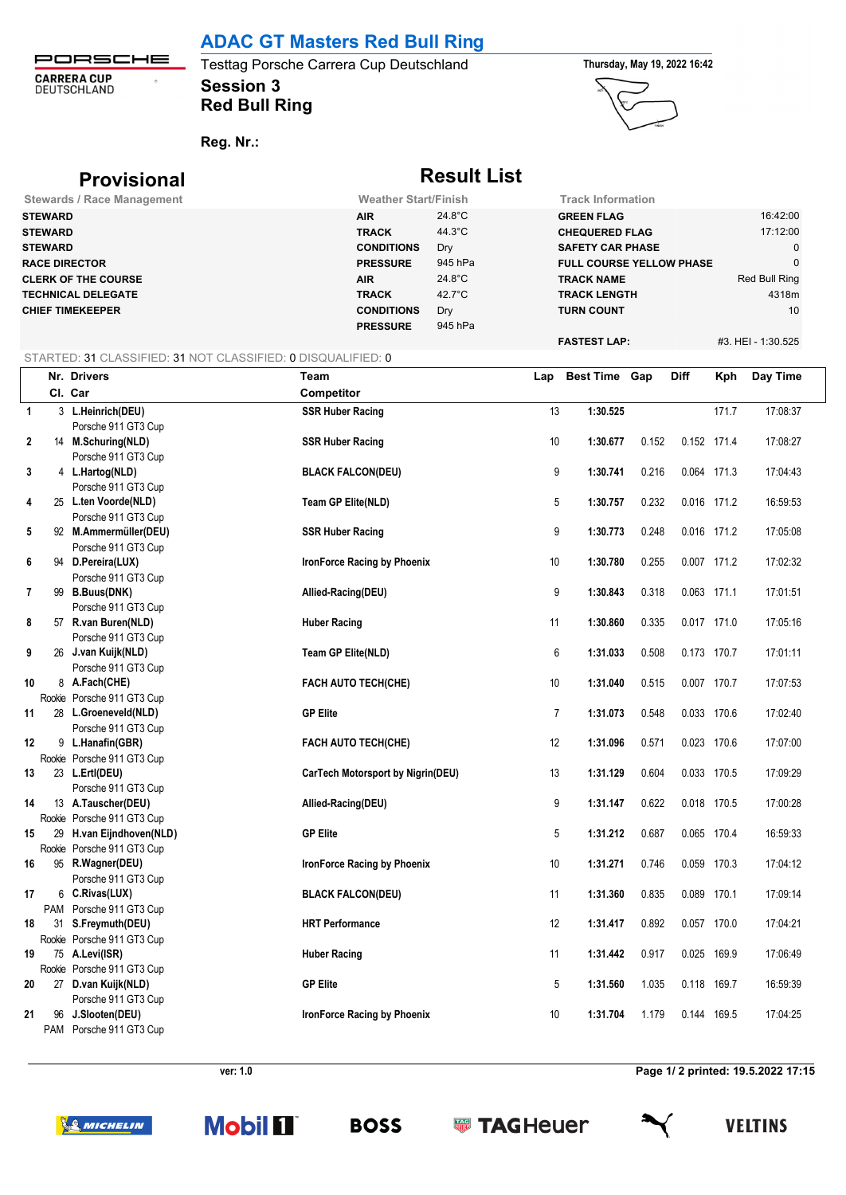# **ADAC GT Masters Red Bull Ring**

PORSCHE **CARRERA CUP**<br>DEUTSCHLAND  $\hat{\sigma}$ 

## **Session 3** Testtag Porsche Carrera Cup Deutschland **Thursday, May 19, 2022 16:42 Red Bull Ring**



**Reg. Nr.:** 

| <b>Provisional</b>                |                             | <b>Result List</b> |                                 |                    |
|-----------------------------------|-----------------------------|--------------------|---------------------------------|--------------------|
| <b>Stewards / Race Management</b> | <b>Weather Start/Finish</b> |                    | <b>Track Information</b>        |                    |
| <b>STEWARD</b>                    | <b>AIR</b>                  | 24.8°C             | <b>GREEN FLAG</b>               | 16:42:00           |
| <b>STEWARD</b>                    | <b>TRACK</b>                | $44.3^{\circ}$ C   | <b>CHEQUERED FLAG</b>           | 17:12:00           |
| <b>STEWARD</b>                    | <b>CONDITIONS</b>           | Dry                | <b>SAFETY CAR PHASE</b>         | $\mathbf 0$        |
| <b>RACE DIRECTOR</b>              | <b>PRESSURE</b>             | 945 hPa            | <b>FULL COURSE YELLOW PHASE</b> | $\mathbf 0$        |
| <b>CLERK OF THE COURSE</b>        | <b>AIR</b>                  | $24.8^{\circ}$ C   | <b>TRACK NAME</b>               | Red Bull Ring      |
| <b>TECHNICAL DELEGATE</b>         | <b>TRACK</b>                | $42.7^{\circ}$ C   | <b>TRACK LENGTH</b>             | 4318m              |
| <b>CHIEF TIMEKEEPER</b>           | <b>CONDITIONS</b>           | Dry                | <b>TURN COUNT</b>               | 10                 |
|                                   | <b>PRESSURE</b>             | 945 hPa            |                                 |                    |
|                                   |                             |                    | <b>FASTEST LAP:</b>             | #3. HEI - 1:30.525 |

## STARTED: 31 CLASSIFIED: 31 NOT CLASSIFIED: 0 DISQUALIFIED: 0

|                |    | Nr. Drivers                           | Team                              | Lap            | <b>Best Time Gap</b> |       | <b>Diff</b> | Kph   | Day Time |
|----------------|----|---------------------------------------|-----------------------------------|----------------|----------------------|-------|-------------|-------|----------|
|                |    | Cl. Car                               | <b>Competitor</b>                 |                |                      |       |             |       |          |
| $\overline{1}$ |    | 3 L.Heinrich(DEU)                     | <b>SSR Huber Racing</b>           | 13             | 1:30.525             |       |             | 171.7 | 17:08:37 |
|                |    | Porsche 911 GT3 Cup                   |                                   |                |                      |       |             |       |          |
| 2              |    | 14 M.Schuring(NLD)                    | <b>SSR Huber Racing</b>           | $10$           | 1:30.677             | 0.152 | 0.152 171.4 |       | 17:08:27 |
|                |    | Porsche 911 GT3 Cup                   |                                   |                |                      |       |             |       |          |
| 3              |    | 4 L.Hartog(NLD)                       | <b>BLACK FALCON(DEU)</b>          | 9              | 1:30.741             | 0.216 | 0.064 171.3 |       | 17:04:43 |
|                |    | Porsche 911 GT3 Cup                   |                                   |                |                      |       |             |       |          |
| 4              |    | 25 L.ten Voorde(NLD)                  | Team GP Elite(NLD)                | 5              | 1:30.757             | 0.232 | 0.016 171.2 |       | 16:59:53 |
|                |    | Porsche 911 GT3 Cup                   |                                   |                |                      |       |             |       |          |
| 5              |    | 92 M.Ammermüller(DEU)                 | <b>SSR Huber Racing</b>           | 9              | 1:30.773             | 0.248 | 0.016 171.2 |       | 17:05:08 |
|                |    | Porsche 911 GT3 Cup                   |                                   |                |                      |       |             |       |          |
| 6              |    | 94 D.Pereira(LUX)                     | IronForce Racing by Phoenix       | 10             | 1:30.780             | 0.255 | 0.007 171.2 |       | 17:02:32 |
|                |    | Porsche 911 GT3 Cup                   |                                   |                |                      |       |             |       |          |
| 7              |    | 99 B.Buus(DNK)                        | Allied-Racing(DEU)                | 9              | 1:30.843             | 0.318 | 0.063 171.1 |       | 17:01:51 |
|                |    | Porsche 911 GT3 Cup                   |                                   |                |                      |       |             |       |          |
| 8              |    | 57 R.van Buren(NLD)                   | <b>Huber Racing</b>               | 11             | 1:30.860             | 0.335 | 0.017 171.0 |       | 17:05:16 |
|                |    | Porsche 911 GT3 Cup                   |                                   |                |                      |       |             |       |          |
| 9              |    | 26 J.van Kuijk(NLD)                   | Team GP Elite(NLD)                | 6              | 1:31.033             | 0.508 | 0.173 170.7 |       | 17:01:11 |
|                |    | Porsche 911 GT3 Cup                   |                                   |                |                      |       |             |       |          |
| 10             |    | 8 A.Fach(CHE)                         | FACH AUTO TECH(CHE)               | $10$           | 1:31.040             | 0.515 | 0.007 170.7 |       | 17:07:53 |
|                |    | Rookie Porsche 911 GT3 Cup            |                                   |                |                      |       |             |       |          |
| 11             |    | 28 L.Groeneveld(NLD)                  | <b>GP Elite</b>                   | $\overline{7}$ | 1:31.073             | 0.548 | 0.033 170.6 |       | 17:02:40 |
|                |    | Porsche 911 GT3 Cup                   |                                   |                |                      |       |             |       |          |
| 12             |    | 9 L.Hanafin(GBR)                      | FACH AUTO TECH(CHE)               | 12             | 1:31.096             | 0.571 | 0.023 170.6 |       | 17:07:00 |
|                |    | Rookie Porsche 911 GT3 Cup            |                                   |                |                      |       |             |       |          |
| 13             |    | 23 L.Ertl(DEU)<br>Porsche 911 GT3 Cup | CarTech Motorsport by Nigrin(DEU) | 13             | 1:31.129             | 0.604 | 0.033 170.5 |       | 17:09:29 |
| 14             |    | 13 A.Tauscher(DEU)                    |                                   | 9              |                      |       |             |       | 17:00:28 |
|                |    | Rookie Porsche 911 GT3 Cup            | Allied-Racing(DEU)                |                | 1:31.147             | 0.622 | 0.018 170.5 |       |          |
| 15             |    | 29 H.van Eijndhoven(NLD)              | <b>GP Elite</b>                   | 5              | 1:31.212             | 0.687 | 0.065 170.4 |       | 16:59:33 |
|                |    | Rookie Porsche 911 GT3 Cup            |                                   |                |                      |       |             |       |          |
| 16             |    | 95 R.Wagner(DEU)                      | IronForce Racing by Phoenix       | $10$           | 1:31.271             | 0.746 | 0.059 170.3 |       | 17:04:12 |
|                |    | Porsche 911 GT3 Cup                   |                                   |                |                      |       |             |       |          |
| 17             |    | 6 C.Rivas(LUX)                        | <b>BLACK FALCON(DEU)</b>          | 11             | 1:31.360             | 0.835 | 0.089 170.1 |       | 17:09:14 |
|                |    | PAM Porsche 911 GT3 Cup               |                                   |                |                      |       |             |       |          |
| 18             |    | 31 S.Freymuth(DEU)                    | <b>HRT</b> Performance            | 12             | 1:31.417             | 0.892 | 0.057 170.0 |       | 17:04:21 |
|                |    | Rookie Porsche 911 GT3 Cup            |                                   |                |                      |       |             |       |          |
| 19             |    | 75 A.Levi(ISR)                        | <b>Huber Racing</b>               | 11             | 1:31.442             | 0.917 | 0.025 169.9 |       | 17:06:49 |
|                |    | Rookie Porsche 911 GT3 Cup            |                                   |                |                      |       |             |       |          |
| 20             |    | 27 D.van Kuijk(NLD)                   | <b>GP Elite</b>                   | 5              | 1:31.560             | 1.035 | 0.118 169.7 |       | 16:59:39 |
|                |    | Porsche 911 GT3 Cup                   |                                   |                |                      |       |             |       |          |
| 21             | 96 | J.Slooten(DEU)                        | IronForce Racing by Phoenix       | 10             | 1:31.704             | 1.179 | 0.144 169.5 |       | 17:04:25 |
|                |    | PAM Porsche 911 GT3 Cup               |                                   |                |                      |       |             |       |          |

**ver: 1.0 Page 1/ 2 printed: 19.5.2022 17:15**

**SO MICHELIN** 



**Sold TAGHeuer** 



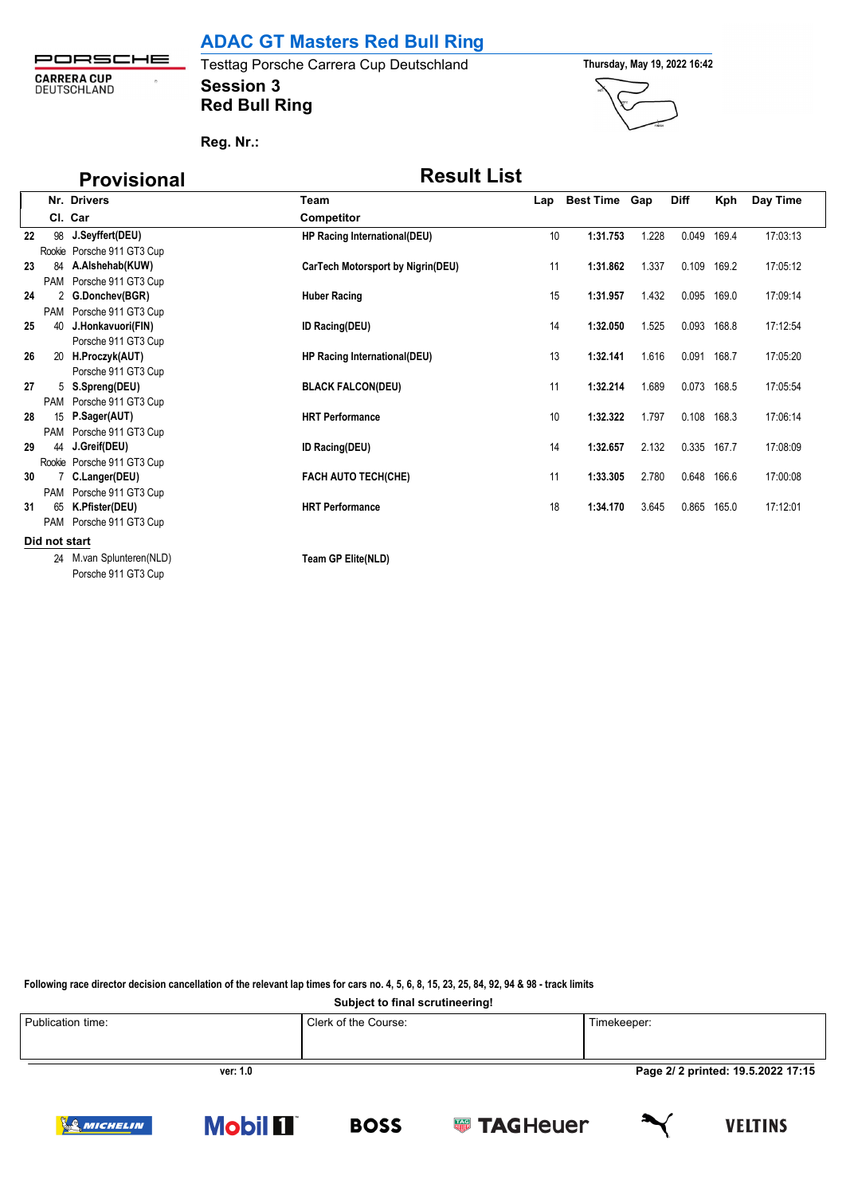**ADAC GT Masters Red Bull Ring**

PORSCHE **CARRERA CUP**<br>DEUTSCHLAND  $\eta$ 

**Session 3** Testtag Porsche Carrera Cup Deutschland **Thursday, May 19, 2022 16:42 Red Bull Ring**



**Reg. Nr.:** 

# **Provisional Result List**

|    |               | Nr. Drivers                | Team                              |    | Lap Best Time Gap |       | <b>Diff</b> | Kph   | Day Time |
|----|---------------|----------------------------|-----------------------------------|----|-------------------|-------|-------------|-------|----------|
|    |               | Cl. Car                    | <b>Competitor</b>                 |    |                   |       |             |       |          |
| 22 |               | 98 J.Seyffert(DEU)         | HP Racing International(DEU)      | 10 | 1:31.753          | 1.228 | 0.049       | 169.4 | 17:03:13 |
|    |               | Rookie Porsche 911 GT3 Cup |                                   |    |                   |       |             |       |          |
| 23 | 84            | A.Alshehab(KUW)            | CarTech Motorsport by Nigrin(DEU) | 11 | 1:31.862          | 1.337 | 0.109       | 169.2 | 17:05:12 |
|    |               | PAM Porsche 911 GT3 Cup    |                                   |    |                   |       |             |       |          |
| 24 |               | 2 G.Donchev(BGR)           | <b>Huber Racing</b>               | 15 | 1:31.957          | 1.432 | 0.095       | 169.0 | 17:09:14 |
|    |               | PAM Porsche 911 GT3 Cup    |                                   |    |                   |       |             |       |          |
| 25 | 40            | J.Honkavuori(FIN)          | <b>ID Racing(DEU)</b>             | 14 | 1:32.050          | 1.525 | 0.093       | 168.8 | 17:12:54 |
|    |               | Porsche 911 GT3 Cup        |                                   |    |                   |       |             |       |          |
| 26 |               | 20 H.Proczyk(AUT)          | HP Racing International(DEU)      | 13 | 1:32.141          | 1.616 | 0.091       | 168.7 | 17:05:20 |
|    |               | Porsche 911 GT3 Cup        |                                   |    |                   |       |             |       |          |
| 27 |               | 5 S.Spreng(DEU)            | <b>BLACK FALCON(DEU)</b>          | 11 | 1:32.214          | 1.689 | 0.073       | 168.5 | 17:05:54 |
|    |               | PAM Porsche 911 GT3 Cup    |                                   |    |                   |       |             |       |          |
| 28 | 15            | P.Sager(AUT)               | <b>HRT Performance</b>            | 10 | 1:32.322          | 1.797 | 0.108       | 168.3 | 17:06:14 |
|    |               | PAM Porsche 911 GT3 Cup    |                                   |    |                   |       |             |       |          |
| 29 |               | 44 J.Greif(DEU)            | <b>ID Racing(DEU)</b>             | 14 | 1:32.657          | 2.132 | 0.335 167.7 |       | 17:08:09 |
|    |               | Rookie Porsche 911 GT3 Cup |                                   |    |                   |       |             |       |          |
| 30 |               | 7 C.Langer(DEU)            | <b>FACH AUTO TECH(CHE)</b>        | 11 | 1:33.305          | 2.780 | 0.648       | 166.6 | 17:00:08 |
|    |               | PAM Porsche 911 GT3 Cup    |                                   |    |                   |       |             |       |          |
| 31 | 65            | K.Pfister(DEU)             | <b>HRT</b> Performance            | 18 | 1:34.170          | 3.645 | 0.865       | 165.0 | 17:12:01 |
|    |               | PAM Porsche 911 GT3 Cup    |                                   |    |                   |       |             |       |          |
|    | Did not start |                            |                                   |    |                   |       |             |       |          |
|    |               | 24 M. van Splunteren (NLD) | Team GP Elite(NLD)                |    |                   |       |             |       |          |
|    |               | Porsche 911 GT3 Cup        |                                   |    |                   |       |             |       |          |

**Following race director decision cancellation of the relevant lap times for cars no. 4, 5, 6, 8, 15, 23, 25, 84, 92, 94 & 98 - track limits**

**Subject to final scrutineering!**

**BOSS** 

| Publication time: | Clerk of the Course: | Timekeeper:                        |
|-------------------|----------------------|------------------------------------|
| ver: 1.0          |                      | Page 2/ 2 printed: 19.5.2022 17:15 |

**Solution TAGHeuer** 

**Mobil II** 

**VELTINS** 

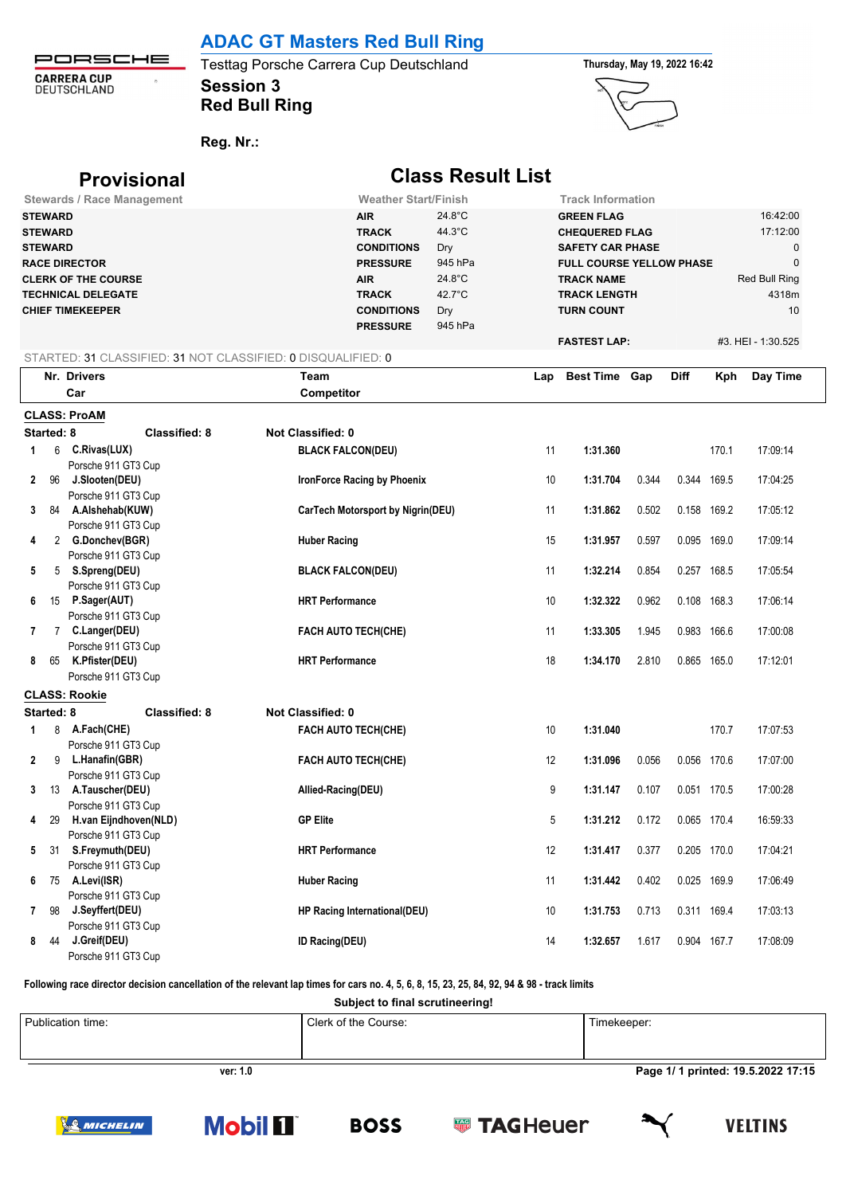## **ADAC GT Masters Red Bull Ring**

PORSCHE Testtag Porsche Carrera Cup Deutschland **Thursday, May 19, 2022 16:42**  $\ddot{\phantom{a}}$ **Session 3**

**Red Bull Ring**





**Reg. Nr.:** 

**CARRERA CUP**<br>DEUTSCHLAND

## **Provisional Class Result List Stewards / Race Management Weather Start/Finish Track Information STEWARD AIR** 24.8°C **GREEN FLAG** 16:42:00 **STEWARD TRACK** 44.3°C **CHEQUERED FLAG** 17:12:00 **STEWARD CONDITIONS** Dry **SAFETY CAR PHASE** 0 **RACE DIRECTOR PRESSURE** 945 hPa **FULL COURSE YELLOW PHASE** 0 **CLERK OF THE COURSE AIR** 24.8°C **TRACK NAME** Red Bull Ring **TECHNICAL DELEGATE TRACK** 42.7°C **TRACK LENGTH** 4318m **CHIEF TIMEKEEPER CONDITIONS** Dry **TURN COUNT** 10 **PRESSURE** 945 hPa **FASTEST LAP:** #3. HEI - 1:30.525 STARTED: 31 CLASSIFIED: 31 NOT CLASSIFIED: 0 DISQUALIFIED: 0 **Car Competitor CLASS: ProAM Started: 8 Classified: 8 Not Classified: 0 1** 6 **C.Rivas(LUX) BLACK FALCON(DEU)** 11 **1:31.360** 170.1 17:09:14 Porsche 911 GT3 Cup **2** 96 **J.Slooten(DEU) IronForce Racing by Phoenix** 10 **1:31.704** 0.344 0.344 169.5 17:04:25 Porsche 911 GT3 Cup **3** 84 **A.Alshehab(KUW) CarTech Motorsport by Nigrin(DEU)** 11 **1:31.862** 0.502 0.158 169.2 17:05:12

|              |             | Nr. Drivers                            | Team                              | Lap | <b>Best Time Gap</b> |       | <b>Diff</b> | Kph         | Day Time |  |
|--------------|-------------|----------------------------------------|-----------------------------------|-----|----------------------|-------|-------------|-------------|----------|--|
|              |             | Car                                    | Competitor                        |     |                      |       |             |             |          |  |
|              |             | <b>CLASS: ProAM</b>                    |                                   |     |                      |       |             |             |          |  |
|              | Started: 8  | <b>Classified: 8</b>                   | Not Classified: 0                 |     |                      |       |             |             |          |  |
| 1            | 6           | C.Rivas(LUX)                           | <b>BLACK FALCON(DEU)</b>          | 11  | 1:31.360             |       |             | 170.1       | 17:09:14 |  |
|              |             | Porsche 911 GT3 Cup                    |                                   |     |                      |       |             |             |          |  |
|              | 2 96        | J.Slooten(DEU)                         | IronForce Racing by Phoenix       | 10  | 1:31.704             | 0.344 | 0.344 169.5 |             | 17:04:25 |  |
|              |             | Porsche 911 GT3 Cup                    |                                   |     |                      |       |             |             |          |  |
|              |             | 3 84 A.Alshehab(KUW)                   | CarTech Motorsport by Nigrin(DEU) | 11  | 1:31.862             | 0.502 | 0.158       | 169.2       | 17:05:12 |  |
|              |             | Porsche 911 GT3 Cup                    |                                   |     |                      |       |             |             |          |  |
| 4            |             | 2 G.Donchev(BGR)                       | <b>Huber Racing</b>               | 15  | 1:31.957             | 0.597 | 0.095 169.0 |             | 17:09:14 |  |
|              |             | Porsche 911 GT3 Cup                    |                                   |     |                      |       |             |             |          |  |
| 5            |             | 5 S.Spreng(DEU)                        | <b>BLACK FALCON(DEU)</b>          | 11  | 1:32.214             | 0.854 | 0.257 168.5 |             | 17:05:54 |  |
|              |             | Porsche 911 GT3 Cup                    |                                   |     |                      |       |             |             |          |  |
| 6            | 15          | P.Sager(AUT)                           | <b>HRT Performance</b>            | 10  | 1:32.322             | 0.962 | 0.108 168.3 |             | 17:06:14 |  |
|              |             | Porsche 911 GT3 Cup                    |                                   |     |                      |       |             |             |          |  |
| 7            | $7^{\circ}$ | C.Langer(DEU)                          | <b>FACH AUTO TECH(CHE)</b>        | 11  | 1:33.305             | 1.945 | 0.983       | 166.6       | 17:00:08 |  |
|              |             | Porsche 911 GT3 Cup                    |                                   |     |                      |       |             |             |          |  |
| 8            | 65          | K.Pfister(DEU)                         | <b>HRT Performance</b>            | 18  | 1:34.170             | 2.810 | 0.865       | 165.0       | 17:12:01 |  |
|              |             | Porsche 911 GT3 Cup                    |                                   |     |                      |       |             |             |          |  |
|              |             | <b>CLASS: Rookie</b>                   |                                   |     |                      |       |             |             |          |  |
|              | Started: 8  | <b>Classified: 8</b>                   | Not Classified: 0                 |     |                      |       |             |             |          |  |
| 1            |             | 8 A.Fach(CHE)                          | <b>FACH AUTO TECH(CHE)</b>        | 10  | 1:31.040             |       |             | 170.7       | 17:07:53 |  |
|              |             | Porsche 911 GT3 Cup                    |                                   |     |                      |       |             |             |          |  |
| $\mathbf{2}$ | 9           | L.Hanafin(GBR)                         | <b>FACH AUTO TECH(CHE)</b>        | 12  | 1:31.096             | 0.056 |             | 0.056 170.6 | 17:07:00 |  |
|              |             | Porsche 911 GT3 Cup                    |                                   |     |                      |       |             |             |          |  |
| $3^{\circ}$  | 13          | A.Tauscher(DEU)                        | Allied-Racing(DEU)                | 9   | 1:31.147             | 0.107 | 0.051 170.5 |             | 17:00:28 |  |
|              |             | Porsche 911 GT3 Cup                    |                                   |     |                      |       |             |             |          |  |
|              | 4 29        | H.van Eijndhoven(NLD)                  | <b>GP Elite</b>                   | 5   | 1:31.212             | 0.172 | 0.065 170.4 |             | 16:59:33 |  |
|              | 5 31        | Porsche 911 GT3 Cup                    | <b>HRT Performance</b>            | 12  | 1:31.417             | 0.377 | 0.205 170.0 |             | 17:04:21 |  |
|              |             | S.Freymuth(DEU)<br>Porsche 911 GT3 Cup |                                   |     |                      |       |             |             |          |  |
| 6            | 75          | A.Levi(ISR)                            | <b>Huber Racing</b>               | 11  | 1:31.442             | 0.402 | 0.025       | 169.9       | 17:06:49 |  |
|              |             | Porsche 911 GT3 Cup                    |                                   |     |                      |       |             |             |          |  |
|              | 7 98        | J.Seyffert(DEU)                        | HP Racing International(DEU)      | 10  | 1:31.753             | 0.713 | 0.311 169.4 |             | 17:03:13 |  |
|              |             | Porsche 911 GT3 Cup                    |                                   |     |                      |       |             |             |          |  |
| 8            | 44          | J.Greif(DEU)                           | ID Racing(DEU)                    | 14  | 1:32.657             | 1.617 | 0.904 167.7 |             | 17:08:09 |  |
|              |             | Porsche 911 GT3 Cup                    |                                   |     |                      |       |             |             |          |  |

**Following race director decision cancellation of the relevant lap times for cars no. 4, 5, 6, 8, 15, 23, 25, 84, 92, 94 & 98 - track limits**

**Subject to final scrutineering!**

| Publication time: | Clerk of the Course: | Timekeeper:                       |
|-------------------|----------------------|-----------------------------------|
| ver: 1.0          |                      | Page 1/1 printed: 19.5.2022 17:15 |







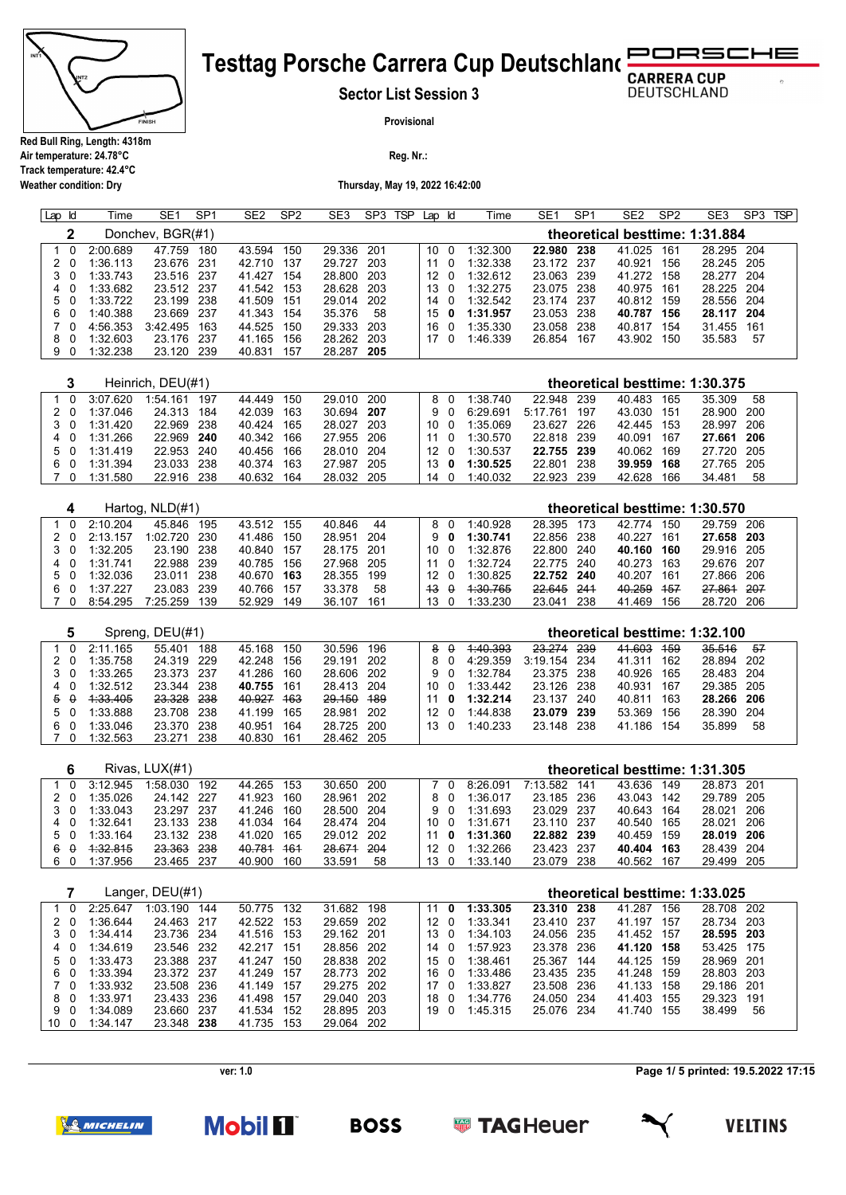

**Weather condition: Dry**

## **Testtag Porsche Carrera Cup Deutschland** RSCHE

**Sector List Session 3**

**DEUTSCHLAND** 

þ,

**Provisional**

**Reg. Nr.:** 

**Thursday, May 19, 2022 16:42:00**

| Lap Id |     | Time     | SE <sub>1</sub>  | SP <sub>1</sub> | SE <sub>2</sub> | SP <sub>2</sub> | SE <sub>3</sub> | SP <sub>3</sub> | <b>TSP</b> | Lap | ld       | Time     | SE <sub>1</sub> | SP <sub>1</sub> | SE <sub>2</sub> | SP <sub>2</sub> | SE <sub>3</sub>                | SP <sub>3</sub> | <b>TSP</b> |
|--------|-----|----------|------------------|-----------------|-----------------|-----------------|-----------------|-----------------|------------|-----|----------|----------|-----------------|-----------------|-----------------|-----------------|--------------------------------|-----------------|------------|
|        |     |          | Donchev, BGR(#1) |                 |                 |                 |                 |                 |            |     |          |          |                 |                 |                 |                 | theoretical besttime: 1:31.884 |                 |            |
|        |     | 2:00.689 | 47.759           | 180             | 43.594          | 150             | 29.336 201      |                 |            | 10  | - 0      | 1:32.300 | 22.980          | 238             | 41.025          | 161             | 28.295 204                     |                 |            |
|        | 20  | 1:36.113 | 23.676           | -231            | 42.710          | 137             | 29.727          | 203             |            | 11  |          | 1:32.338 | 23.172          | -237            | 40.921          | 156             | 28.245 205                     |                 |            |
|        | 30  | 1:33.743 | 23.516           | -237            | 41.427          | 154             | 28.800 203      |                 |            | 12  | $\Omega$ | 1:32.612 | 23.063          | 239             | 41.272          | 158             | 28.277 204                     |                 |            |
|        |     | 1:33.682 | 23.512           | -237            | 41.542          | 153             | 28.628          | 203             |            | 13  | - 0      | 1:32.275 | 23.075          | 238             | 40.975          | 161             | 28.225 204                     |                 |            |
|        | 50  | 1:33.722 | 23.199           | 238             | 41.509          | 151             | 29.014          | 202             |            | 14  | - 0      | 1:32.542 | 23.174          | -237            | 40.812          | 159             | 28.556 204                     |                 |            |
| 6.     | - 0 | 1:40.388 | 23.669           | -237            | 41.343          | 154             | 35.376          | 58              |            | 15  | 0        | 1:31.957 | 23.053          | 238             | 40.787          | 156             | 28.117 204                     |                 |            |
|        | 70  | 4:56.353 | 3:42.495         | 163             | 44.525          | 150             | 29.333          | 203             |            | 16. | $\Omega$ | 1:35.330 | 23.058          | 238             | 40.817          | 154             | 31.455                         | 161             |            |
| 8.     | - 0 | 1:32.603 | 23.176           | -237            | 41.165          | 156             | 28.262          | 203             |            | 17  |          | 1:46.339 | 26.854          | 167             | 43.902          | 150             | 35.583                         | -57             |            |
|        | -0  | :32.238  | 23.120           | -239            | 40.831          | 157             | 28.287 205      |                 |            |     |          |          |                 |                 |                 |                 |                                |                 |            |
|        |     |          |                  |                 |                 |                 |                 |                 |            |     |          |          |                 |                 |                 |                 |                                |                 |            |

|     |          | Heinrich, DEU(#1) |      |        |     |            |     |             |          |            |       |        |      | theoretical besttime: 1:30.375 |     |  |
|-----|----------|-------------------|------|--------|-----|------------|-----|-------------|----------|------------|-------|--------|------|--------------------------------|-----|--|
|     | 3:07.620 | 1:54.161          | 197  | 44 449 | 150 | 29.010 200 |     | 8 O         | 1:38740  | 22.948 239 |       | 40.483 | 165  | 35.309                         | 58  |  |
| 20  | 1:37.046 | 24 313            | 184  | 42.039 | 163 | 30.694     | 207 | 9 O         | 6:29.691 | 5.17761    | - 197 | 43.030 | -151 | 28.900 200                     |     |  |
| 3 O | 1:31,420 | 22.969            | 238  | 40.424 | 165 | 28.027     | 203 | 10 O        | 1:35.069 | 23.627 226 |       | 42 445 | 153  | 28.997                         | 206 |  |
| 40  | 1:31.266 | 22.969            | 240  | 40.342 | 166 | 27 955 206 |     | 11 O        | 1:30.570 | 22.818 239 |       | 40.091 | 167  | 27.661 206                     |     |  |
| 50  | 1:31.419 | 22.953            | -240 | 40.456 | 166 | 28.010 204 |     | 12 O        | 1:30.537 | 22.755 239 |       | 40.062 | 169  | 27 720 205                     |     |  |
| 60  | 1:31.394 | 23 033            | 238  | 40 374 | 163 | 27 987     | 205 | 13 $\theta$ | 1:30.525 | 22 801     | - 238 | 39.959 | 168  | 27 765 205                     |     |  |
|     | 1:31.580 | 22.916            | 238  | 40.632 | 164 | 28 032     | 205 | 14 O        | 1:40.032 | 22.923 239 |       | 42.628 | 166  | 34.481                         | 58  |  |

|     |          | Hartog, NLD(#1) |     |        |     |            |     |                 |    |          |            |      |        |     | theoretical besttime: 1:30.570 |     |
|-----|----------|-----------------|-----|--------|-----|------------|-----|-----------------|----|----------|------------|------|--------|-----|--------------------------------|-----|
|     | 2.10,204 | 45 846          | 195 | 43.512 | 155 | 40.846     | 44  |                 | 80 | 1:40.928 | 28.395     | -173 | 42 774 | 150 | 29.759 206                     |     |
| 2 O | 2:13.157 | 1:02.720        | 230 | 41.486 | 150 | 28.951     | 204 | 9               | 0  | 1:30.741 | 22.856 238 |      | 40 227 | 161 | 27.658 203                     |     |
| 3 O | 1:32.205 | 23.190          | 238 | 40.840 | 157 | 28.175 201 |     | 10 O            |    | 1:32.876 | 22.800 240 |      | 40.160 | 160 | 29.916 205                     |     |
| 40  | 1:31.741 | 22.988          | 239 | 40.785 | 156 | 27.968 205 |     | 11 O            |    | 1:32724  | 22.775 240 |      | 40 273 | 163 | 29.676 207                     |     |
| 50  | 1:32.036 | 23.011          | 238 | 40.670 | 163 | 28.355     | 199 | 12 <sub>0</sub> |    | 1:30.825 | 22.752 240 |      | 40 207 | 161 | 27.866 206                     |     |
| 60  | 1:37.227 | 23.083          | 239 | 40.766 | 157 | 33.378     | 58  | $43 \theta$     |    | 1:30.765 | 22.645 241 |      | 40.259 | 457 | 27.861                         | 207 |
|     | 8:54.295 | 7:25.259        | 139 | 52.929 | 149 | 36.107     | 161 | 13 0            |    | 1:33.230 | 23.041     | 238  | 41.469 | 156 | 28.720 206                     |     |

|                        | Spreng, DEU(#1) |            |      |        |     |            |       |                 |     |          |            |      |        |     | theoretical besttime: 1:32.100 |      |  |
|------------------------|-----------------|------------|------|--------|-----|------------|-------|-----------------|-----|----------|------------|------|--------|-----|--------------------------------|------|--|
|                        | 2:11.165        | 55.401     | 188  | 45.168 | 150 | 30.596     | 196   |                 | 8 0 | 4:40.393 | 23.274     | -239 | 41.603 | 459 | 35.516                         | 57   |  |
| 20                     | 1:35.758        | 24.319 229 |      | 42.248 | 156 | 29.191     | - 202 |                 | 8 O | 4.29.359 | 3:19.154   | -234 | 41.311 | 162 | 28.894                         | 202  |  |
| 3 O                    | 1:33.265        | 23.373 237 |      | 41.286 | 160 | 28.606 202 |       |                 | 9 O | 1:32.784 | 23.375 238 |      | 40.926 | 165 | 28.483 204                     |      |  |
| 4 0                    | 1:32.512        | 23.344 238 |      | 40.755 | 161 | 28.413 204 |       | 10 0            |     | 1:33.442 | 23.126 238 |      | 40.931 | 167 | 29.385 205                     |      |  |
| $\theta$<br>$\ddot{ }$ | 1.33.405        | 23.328 238 |      | 40.927 | 463 | 29.150     | 489   | 11              | - 0 | 1:32.214 | 23.137     | -240 | 40.811 | 163 | 28.266 206                     |      |  |
| 50                     | 1:33.888        | 23.708     | -238 | 41.199 | 165 | 28.981     | 202   | 12 <sub>0</sub> |     | 1:44.838 | 23.079     | 239  | 53.369 | 156 | 28.390                         | -204 |  |
| $\Omega$<br>6          | 1:33.046        | 23.370     | -238 | 40.951 | 164 | 28.725 200 |       | 13 $\Omega$     |     | 1:40.233 | 23.148 238 |      | 41 186 | 154 | 35.899                         | 58   |  |
| - 0                    | 1:32.563        | 23.271     | -238 | 40.830 | 161 | 28.462 205 |       |                 |     |          |            |      |        |     |                                |      |  |

| 192                                                                              |                                                                                                            | 153                                                                |                          |        |                                                               | 8:26.091                                                      | 7:13.582             | 141 | 43.636                                                                           | 149 |                                                        |                                                                                                      |
|----------------------------------------------------------------------------------|------------------------------------------------------------------------------------------------------------|--------------------------------------------------------------------|--------------------------|--------|---------------------------------------------------------------|---------------------------------------------------------------|----------------------|-----|----------------------------------------------------------------------------------|-----|--------------------------------------------------------|------------------------------------------------------------------------------------------------------|
|                                                                                  |                                                                                                            | 160                                                                |                          |        |                                                               | 1:36.017                                                      |                      |     |                                                                                  | 142 |                                                        |                                                                                                      |
| -237                                                                             |                                                                                                            |                                                                    |                          |        |                                                               | 1:31.693                                                      |                      |     |                                                                                  | 164 | 28.021                                                 | 206                                                                                                  |
|                                                                                  |                                                                                                            | 164                                                                |                          |        |                                                               |                                                               |                      |     |                                                                                  |     | 28.021                                                 | - 206                                                                                                |
|                                                                                  |                                                                                                            |                                                                    |                          |        |                                                               |                                                               |                      |     |                                                                                  | 159 |                                                        |                                                                                                      |
|                                                                                  |                                                                                                            |                                                                    | 28.671                   | 204    |                                                               | 1:32.266                                                      |                      |     |                                                                                  |     |                                                        |                                                                                                      |
|                                                                                  |                                                                                                            | 160                                                                | 33.591                   | 58     |                                                               | 1:33.140                                                      |                      |     | 40.562                                                                           | 167 |                                                        |                                                                                                      |
| 3:12.945<br>1:35.026<br>1:33.043<br>1:32.641<br>1:33.164<br>4:32.815<br>1:37.956 | Rivas, LUX(#1)<br>1:58.030<br>24.142 227<br>23 297<br>23.133 238<br>23.132 238<br>23.363 238<br>23.465 237 | 44.265<br>41.923<br>41.246<br>41.034<br>41.020<br>40.781<br>40.900 | 160<br>165<br><b>461</b> | 28.961 | 30.650 200<br>- 202<br>28.500 204<br>28.474 204<br>29.012 202 | 8 O<br>9 O<br>10 O<br>11 O<br>12 <sub>0</sub><br>$13 \quad 0$ | 1:31.671<br>1:31.360 |     | 23.185 236<br>23.029 237<br>23.110 237<br>22.882 239<br>23.423 237<br>23.079 238 |     | 43.043<br>40.643<br>40.540 165<br>40.459<br>40.404 163 | theoretical besttime: 1:31.305<br>28.873 201<br>29.789 205<br>28.019 206<br>28.439 204<br>29.499 205 |

|    |     |     |          | Langer, DEU(#1) |      |            |     |            |       |                 |              |          |            |     |            |     | theoretical besttime: 1:33.025 |       |
|----|-----|-----|----------|-----------------|------|------------|-----|------------|-------|-----------------|--------------|----------|------------|-----|------------|-----|--------------------------------|-------|
|    | 1 0 |     | 2.25647  | 1:03.190        | 144  | 50.775 132 |     | 31.682     | 198   | 11              | $\mathbf{0}$ | 1:33.305 | 23.310 238 |     | 41.287     | 156 | 28.708                         | -202  |
|    | 20  |     | 1:36.644 | 24.463 217      |      | 42.522     | 153 | 29.659     | 202   | 12 <sup>7</sup> | - 0          | 1:33.341 | 23.410 237 |     | 41.197     | 157 | 28.734                         | -203  |
|    | 3 0 |     | 1:34.414 | 23.736 234      |      | 41.516 153 |     | 29.162     | - 201 |                 | 13 0         | 1:34.103 | 24.056 235 |     | 41.452 157 |     | 28.595 203                     |       |
|    | 4 0 |     | 1:34.619 | 23.546 232      |      | 42.217 151 |     | 28.856 202 |       | 14              | $\Omega$     | 1:57.923 | 23.378 236 |     | 41.120 158 |     | 53.425 175                     |       |
|    | 5 0 |     | 1:33.473 | 23.388 237      |      | 41.247     | 150 | 28.838 202 |       |                 | 15 0         | 1:38.461 | 25.367     | 144 | 44.125 159 |     | 28.969                         | - 201 |
|    | 60  |     | 1:33.394 | 23.372 237      |      | 41.249     | 157 | 28.773 202 |       | 16              | $\Omega$     | 1:33.486 | 23.435 235 |     | 41.248 159 |     | 28.803 203                     |       |
|    | 70  |     | 1:33.932 | 23.508 236      |      | 41.149 157 |     | 29.275 202 |       | 17              | $\Omega$     | 1:33.827 | 23.508 236 |     | 41.133 158 |     | 29.186 201                     |       |
|    | 80  |     | 1:33.971 | 23.433 236      |      | 41.498     | 157 | 29.040     | - 203 | 18              | - 0          | 1:34.776 | 24.050 234 |     | 41.403     | 155 | 29.323                         | -191  |
|    | 9 O |     | 1:34.089 | 23.660          | -237 | 41.534     | 152 | 28.895     | 203   | 19              | . വ          | 1:45.315 | 25.076 234 |     | 41.740     | 155 | 38.499                         | 56    |
| 10 |     | - 0 | 1:34.147 | 23.348 238      |      | 41.735     | 153 | 29.064     | 202   |                 |              |          |            |     |            |     |                                |       |

**Page 1/ 5 printed: 19.5.2022 17:15**



**Mobil II** 

**ver: 1.0**



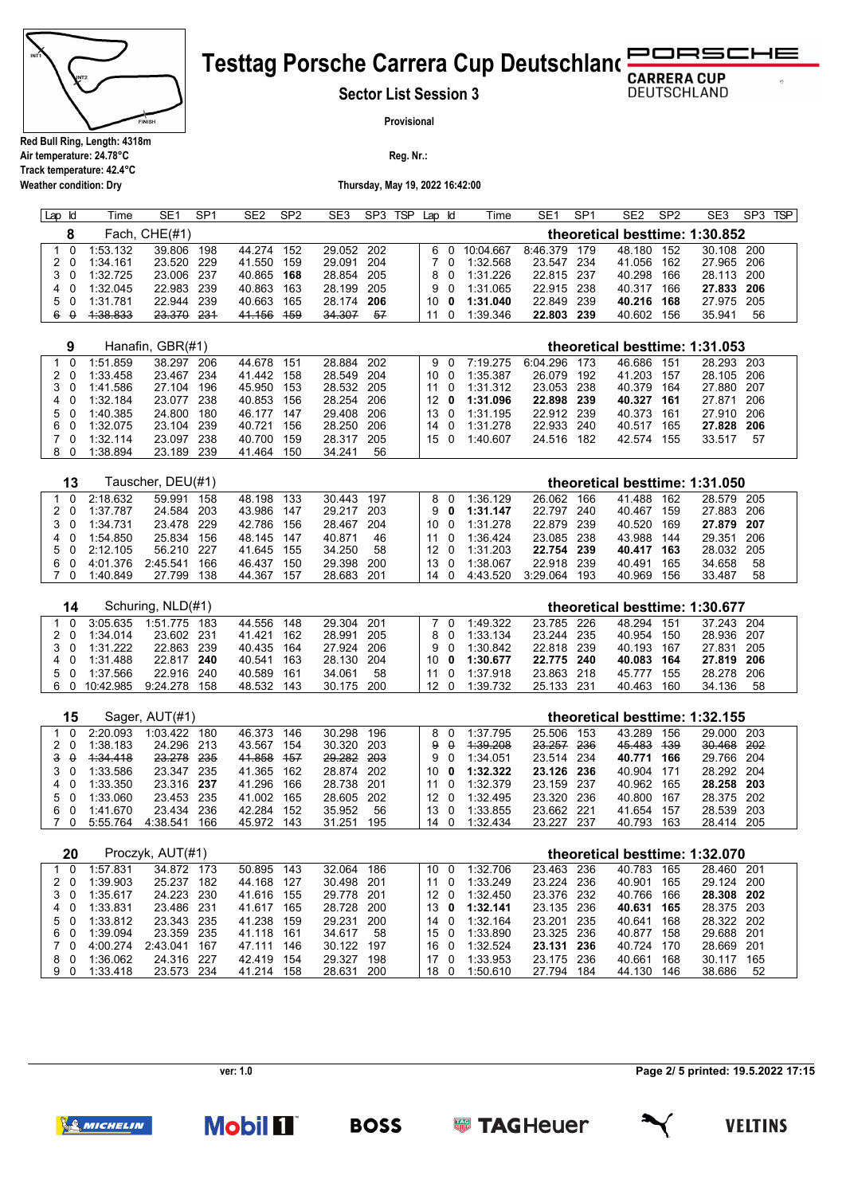

**Weather condition: Dry**

## RSCHE **Testtag Porsche Carrera Cup Deutschland**

**Sector List Session 3**

**DEUTSCHLAND** 

**Provisional**

**Reg. Nr.:** 

**Thursday, May 19, 2022 16:42:00**

| Lap | k | ⊺ime     | SE1           | SP <sub>1</sub> | SE <sub>2</sub> | SP <sub>2</sub> | SE3        | SP3 | <b>TSP</b> | Lap | ld. | Time      | SE <sub>1</sub> | SP1   | SE <sub>2</sub>                | SP <sub>2</sub> | SE3        | SP <sub>3</sub> | <b>TSP</b> |
|-----|---|----------|---------------|-----------------|-----------------|-----------------|------------|-----|------------|-----|-----|-----------|-----------------|-------|--------------------------------|-----------------|------------|-----------------|------------|
|     |   |          | Fach, CHE(#1) |                 |                 |                 |            |     |            |     |     |           |                 |       | theoretical besttime: 1:30.852 |                 |            |                 |            |
|     |   | 1:53.132 | 39.806        | 198             | 44.274          | 152             | 29.052 202 |     |            |     |     | 10:04.667 | 8:46.379        | 179   | 48.180                         | 152             | 30.108 200 |                 |            |
|     |   | 1:34.161 | 23.520        | 229             | 41.550          | 159             | 29.091     | 204 |            |     |     | 1:32.568  | 23.547          | 234   | 41.056                         | 162             | 27.965 206 |                 |            |
|     |   | 1:32.725 | 23.006        | -237            | 40.865          | 168             | 28.854 205 |     |            |     | 80  | 1:31.226  | 22.815          | - 237 | 40.298                         | 166             | 28.113 200 |                 |            |
| 40  |   | 1:32.045 | 22.983        | 239             | 40.863          | 163             | 28.199 205 |     |            |     | 9 O | 1:31.065  | 22.915          | -238  | 40.317                         | 166             | 27.833 206 |                 |            |
| 50  |   | 1:31.781 | 22.944        | 239             | 40.663          | 165             | 28.174     | 206 |            | 10  | 0   | 1:31.040  | 22.849          | 239   | 40.216                         | 168             | 27.975 205 |                 |            |
| 6   | 0 | 1:38.833 | 23.370        | 231             | 41.156          | 459             | 34.307     | 57  |            |     |     | :39.346   | 22.803          | 239   | 40.602                         | 156             | 35.941     | 56              |            |

| 9        |          | Hanafin, GBR(#1) |                |               |             |                 |          |              |        |      | theoretical besttime: 1:31.053 |       |
|----------|----------|------------------|----------------|---------------|-------------|-----------------|----------|--------------|--------|------|--------------------------------|-------|
| $\Omega$ | 1:51.859 | 38.297<br>206    | 44.678<br>-151 | 28.884 202    |             | 90              | 7.19275  | 6:04.296 173 | 46.686 | 151  | 28.293 203                     |       |
| 20       | 1:33.458 | -234<br>23.467   | 41.442<br>158  | 28.549 204    | 10 O        |                 | 1:35.387 | 26.079 192   | 41.203 | 157  | 28.105                         | - 206 |
| 30       | 1:41.586 | 27.104<br>196    | 153<br>45.950  | 28.532 205    | 11 0        |                 | 1:31.312 | 23.053 238   | 40.379 | 164  | 27.880 207                     |       |
| 4 0      | 1:32.184 | -238<br>23.077   | 40.853<br>156  | 28.254 206    |             | 12 <sub>0</sub> | 1:31.096 | 22.898 239   | 40.327 | -161 | 27.871                         | -206  |
| 50       | 1:40.385 | 24.800<br>180    | 147<br>46.177  | 29.408 206    | 13 $\Omega$ |                 | 1:31.195 | 22.912 239   | 40.373 | 161  | 27.910 206                     |       |
| 60       | 1:32.075 | 23.104 239       | 40.721<br>156  | 28.250 206    | 14 0        |                 | 1:31.278 | 22.933 240   | 40.517 | 165  | 27.828 206                     |       |
| 7 በ      | 1:32114  | 238<br>23.097    | 40.700<br>159  | 28.317<br>205 | 15 $\Omega$ |                 | 1:40.607 | 24.516 182   | 42.574 | 155  | 33.517                         | 57    |
| 80       | 1:38.894 | 23.189<br>-239   | 41.464<br>150  | 34.241<br>56  |             |                 |          |              |        |      |                                |       |

|    | 13  |            | Tauscher, DEU(#1) |     |            |     |            |       |                 |     |          |            |      | theoretical besttime: 1:31.050 |     |            |    |  |
|----|-----|------------|-------------------|-----|------------|-----|------------|-------|-----------------|-----|----------|------------|------|--------------------------------|-----|------------|----|--|
|    |     | 2.18632    | 59 991            | 158 | 48.198     | 133 | 30.443 197 |       |                 |     | 1:36 129 | 26.062     | 166  | 41 488                         | 162 | 28.579 205 |    |  |
|    | 2 O | 1:37 787   | 24.584            | 203 | 43.986     | 147 | 29 217     | 203   | 9.              | - 0 | 1:31.147 | 22.797     | 240  | 40.467                         | 159 | 27.883 206 |    |  |
|    | 30  | 1:34.731   | 23.478 229        |     | 42.786     | 156 | 28.467     | - 204 | 10              |     | 1:31.278 | 22.879     | -239 | 40.520                         | 169 | 27.879 207 |    |  |
| 4  |     | 1:54.850   | 25.834            | 156 | 48.145 147 |     | 40.871     | 46    |                 |     | 1:36 424 | 23.085     | -238 | 43.988                         | 144 | 29.351 206 |    |  |
|    | 50  | $2.12$ 105 | 56 210 227        |     | 41.645     | 155 | 34.250     | 58    |                 |     | 1:31.203 | 22.754 239 |      | 40.417 163                     |     | 28 032 205 |    |  |
| 6. |     | 4:01.376   | 2.45.541          | 166 | 46 437     | 150 | 29.398     | 200   | 13 <sup>1</sup> |     | 1:38.067 | 22.918     | -239 | 40.491                         | 165 | 34.658     | 58 |  |
|    |     | 1:40.849   | 27.799            | 138 | 44.367     | 157 | 28.683 201 |       | 14              |     | 4.43.520 | 3.29064    | 193  | 40.969                         | 156 | 33.487     | 58 |  |

| 14 |           | Schuring, NLD(#1) |     |            |     |            |     |    |   |          |            |       |            |     | theoretical besttime: 1:30.677 |    |
|----|-----------|-------------------|-----|------------|-----|------------|-----|----|---|----------|------------|-------|------------|-----|--------------------------------|----|
|    | 3:05.635  | 1:51 775          | 183 | 44.556     | 148 | 29.304 201 |     |    |   | 1:49.322 | 23 7 85    | -226  | 48 294     | 151 | 37.243 204                     |    |
|    | 1:34.014  | 23.602 231        |     | 41.421     | 162 | 28.991 205 |     |    |   | 1:33.134 | 23.244     | -235  | 40.954     | 150 | 28.936 207                     |    |
|    | 1:31.222  | 22.863 239        |     | 40.435 164 |     | 27.924 206 |     | 9. |   | 1:30.842 | 22.818 239 |       | 40.193 167 |     | 27.831 205                     |    |
|    | 1:31.488  | 22.817 240        |     | 40.541     | 163 | 28.130 204 |     | 10 | 0 | 1:30.677 | 22.775 240 |       | 40.083 164 |     | 27.819 206                     |    |
| 50 | 1:37.566  | 22.916            | 240 | 40.589     | 161 | 34.061     | -58 |    |   | 1:37.918 | 23.863 218 |       | 45 777     | 155 | 28.278 206                     |    |
| 60 | 10:42.985 | 9.24278           | 158 | 48.532     | 143 | 30.175 200 |     |    |   | 1:39.732 | 25.133     | - 231 | 40.463     | 160 | 34.136                         | 58 |

| 15                       |          | Sager, AUT(#1) |      |        |     |            |     |                   |     |          |            |       | theoretical besttime: 1:32.155 |     |            |  |
|--------------------------|----------|----------------|------|--------|-----|------------|-----|-------------------|-----|----------|------------|-------|--------------------------------|-----|------------|--|
| $\Omega$                 | 2:20.093 | 1.03422        | 180  | 46.373 | 146 | 30.298     | 196 |                   | 80  | 1:37.795 | 25.506     | 153   | 43.289                         | 156 | 29.000 203 |  |
| 20                       | 1:38.183 | 24.296 213     |      | 43.567 | 154 | 30.320     | 203 | 9 A               |     | 1.39.208 | 23.257 236 |       | 45.483                         | 439 | 30.468 202 |  |
| $\theta$<br>$\mathbf{a}$ | 1:34.418 | 23.278 235     |      | 41.858 | 457 | 29.282 203 |     |                   | 9 O | 1:34.051 | 23.514 234 |       | 40.771                         | 166 | 29.766 204 |  |
| 3 O                      | 1:33.586 | 23.347         | -235 | 41.365 | 162 | 28.874 202 |     | 10 O              |     | 1:32.322 | 23.126 236 |       | 40.904                         | 171 | 28 292 204 |  |
| 4 0                      | 1:33.350 | 23.316 237     |      | 41.296 | 166 | 28.738 201 |     | 11                |     | 1:32.379 | 23.159 237 |       | 40.962                         | 165 | 28.258 203 |  |
| 50                       | 1:33.060 | 23.453 235     |      | 41.002 | 165 | 28.605     | 202 | 12 <sub>0</sub>   |     | 1:32.495 | 23.320 236 |       | 40.800                         | 167 | 28.375 202 |  |
| 60                       | 1:41.670 | 23.434         | 236  | 42.284 | 152 | 35.952     | 56  | $13 \quad \Omega$ |     | 1:33.855 | 23.662 221 |       | 41.654                         | 157 | 28.539 203 |  |
| 70                       | 5:55.764 | 4:38.541       | 166  | 45.972 | 143 | 31.251     | 195 | 14 0              |     | 1:32.434 | 23.227     | - 237 | 40.793                         | 163 | 28.414 205 |  |

| 20            |          | Proczyk, AUT(#1) |      |        |     |        |      |      |          |            |       |        |     | theoretical besttime: 1:32.070 |       |
|---------------|----------|------------------|------|--------|-----|--------|------|------|----------|------------|-------|--------|-----|--------------------------------|-------|
|               | 1:57.831 | 34.872           | 173  | 50.895 | 143 | 32.064 | 186  | 10   | 1:32.706 | 23.463 236 |       | 40.783 | 165 | 28.460                         | - 201 |
| 2 O           | 1:39.903 | 25.237           | 182  | 44.168 | 127 | 30.498 | -201 | 11   | 1:33.249 | 23.224 236 |       | 40.901 | 165 | 29.124                         | 200   |
| 30            | 1:35.617 | 24.223           | 230  | 41.616 | 155 | 29.778 | -201 | 12.  | 1:32.450 | 23.376 232 |       | 40.766 | 166 | 28.308 202                     |       |
| 40            | 1:33.831 | 23.486           | -231 | 41.617 | 165 | 28.728 | 200  | 13 O | 1:32.141 | 23.135 236 |       | 40.631 | 165 | 28.375 203                     |       |
| 50            | 1:33.812 | 23.343 235       |      | 41.238 | 159 | 29.231 | 200  | 14 O | 1:32.164 | 23.201     | - 235 | 40.641 | 168 | 28.322 202                     |       |
| 60            | 1:39.094 | 23.359           | 235  | 41 118 | 161 | 34.617 | 58   | 15 0 | 1:33.890 | 23.325 236 |       | 40 877 | 158 | 29.688 201                     |       |
|               | 4:00.274 | 2.43041          | 167  | 47 111 | 146 | 30.122 | 197  | 16.  | 1:32.524 | 23.131     | - 236 | 40.724 | 170 | 28.669                         | -201  |
| - 0<br>8      | 1:36.062 | 24.316           | -227 | 42 419 | 154 | 29.327 | 198  | 17   | 1:33.953 | 23.175 236 |       | 40.661 | 168 | 30.117                         | 165   |
| $\Omega$<br>9 | 1:33.418 | 23.573           | -234 | 41.214 | 158 | 28.631 | 200  | 18   | 1:50.610 | 27.794     | 184   | 44.130 | 146 | 38.686                         | 52    |

**Page 2/ 5 printed: 19.5.2022 17:15**



**Mobil II** 



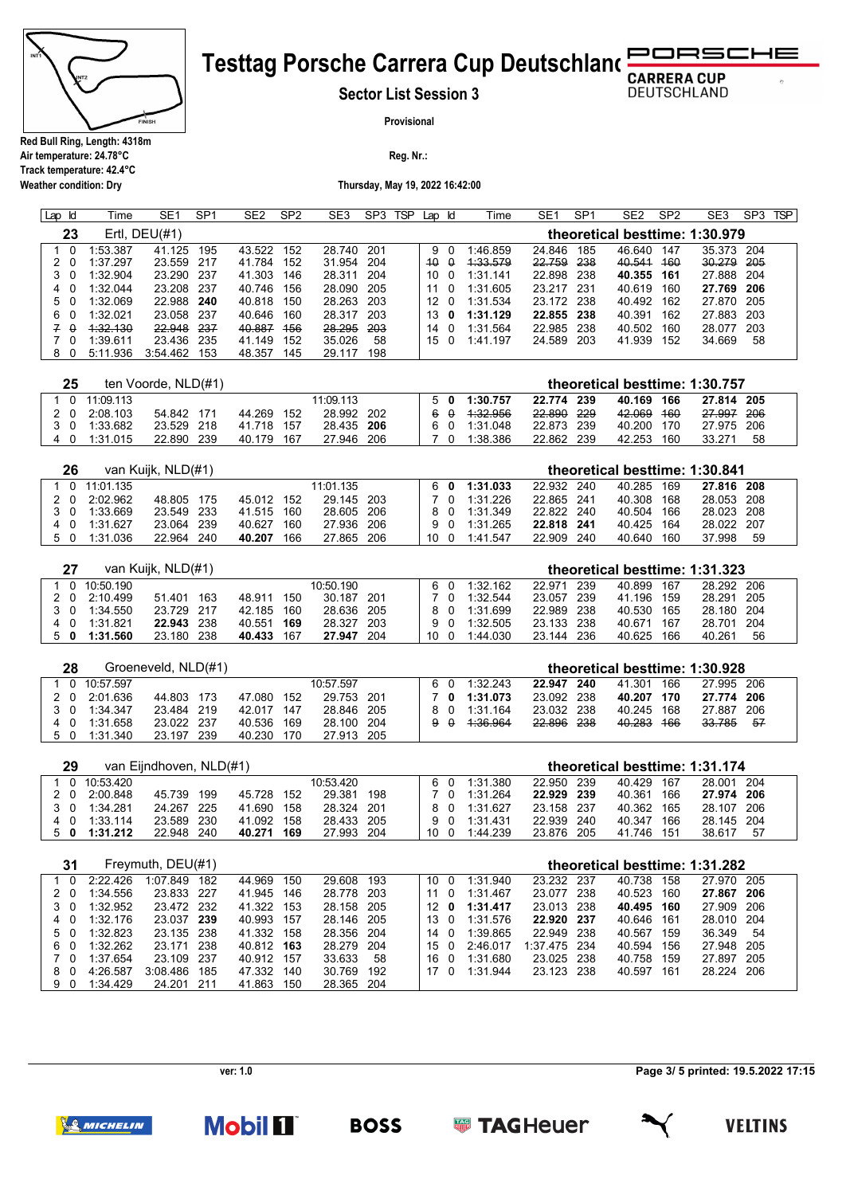

**Weather condition: Dry**

## **Testtag Porsche Carrera Cup Deutschland RUCHE**

**Sector List Session 3**

**DEUTSCHLAND** 

 $\sigma$ 

**Provisional**

**Reg. Nr.:** 

**Thursday, May 19, 2022 16:42:00**

| Lap Id |          | Time     | SE <sub>1</sub>  | SP <sub>1</sub> | SE <sub>2</sub> | SP <sub>2</sub> | SE <sub>3</sub> | SP <sub>3</sub> | <b>TSP</b> | Lap Id          |          | Time     | SE <sub>1</sub> | SP <sub>1</sub> | SE <sub>2</sub> | SP <sub>2</sub> | SE <sub>3</sub>                | SP3 TSP |  |
|--------|----------|----------|------------------|-----------------|-----------------|-----------------|-----------------|-----------------|------------|-----------------|----------|----------|-----------------|-----------------|-----------------|-----------------|--------------------------------|---------|--|
|        | 23       |          | Ertl, $DEU(\#1)$ |                 |                 |                 |                 |                 |            |                 |          |          |                 |                 |                 |                 | theoretical besttime: 1:30.979 |         |  |
|        | $\Omega$ | 1:53.387 | 41.125           | 195             | 43.522          | 152             | 28.740 201      |                 |            | 9               | - 0      | 1:46.859 | 24.846          | 185             | 46.640          | 147             | 35.373 204                     |         |  |
|        | 20       | 1:37.297 | 23.559           | 217             | 41.784          | 152             | 31.954 204      |                 |            | $40^{\circ}$    | $\theta$ | 4:33.579 | 22.759          | -238            | 40.541          | <del>160</del>  | 30.279 205                     |         |  |
|        | 3 O      | 1:32.904 | 23.290           | -237            | 41.303          | 146             | 28.311 204      |                 |            | 10              | $\Omega$ | 1:31.141 | 22.898          | -238            | 40.355 161      |                 | 27.888 204                     |         |  |
| 40     |          | 1:32.044 | 23.208           | -237            | 40.746          | 156             | 28.090 205      |                 |            | 11              | $\Omega$ | 1:31.605 | 23.217          | -231            | 40.619          | 160             | 27.769 206                     |         |  |
|        |          | 1:32.069 | 22.988           | 240             | 40.818          | 150             | 28.263 203      |                 |            | 12 <sup>7</sup> | $\Omega$ | 1:31.534 | 23.172          | -238            | 40.492          | 162             | 27.870 205                     |         |  |
| 60     |          | 1:32.021 | 23.058           | -237            | 40.646          | 160             | 28.317 203      |                 |            | 13              | 0        | 1:31.129 | 22.855          | -238            | 40.391          | 162             | 27.883 203                     |         |  |
|        | 7 A      | 1:32.130 | 22.948           | -237            | 40.887          | 456             | 28.295          | 203             |            | 14              | $\Omega$ | 1:31.564 | 22.985          | 238             | 40.502          | 160             | 28.077 203                     |         |  |
|        | 70       | 1:39.611 | 23.436           | -235            | 41.149          | 152             | 35.026          | -58             |            | 15              | - 0      | 1:41.197 | 24.589          | 203             | 41.939          | 152             | 34.669                         | 58      |  |
|        | - 0      | 5:11.936 | 3:54.462         | 153             | 48.357          | 145             | 29.117          | 198             |            |                 |          |          |                 |                 |                 |                 |                                |         |  |

| 25  |            | ten Voorde, NLD(#1) |                |       |            |     |     |                    |            |            |       | theoretical besttime: 1:30.757 |    |
|-----|------------|---------------------|----------------|-------|------------|-----|-----|--------------------|------------|------------|-------|--------------------------------|----|
|     | 0.1109.113 |                     |                |       | 11:09.113  |     |     | $5 \t0 \t1:30.757$ | 22.774 239 | 40.169 166 |       | 27.814 205                     |    |
| 20  | 2:08.103   | 54.842              | 44.269<br>-171 | 152   | 28.992 202 |     | 6 A | 4:32.956           | 22.890 229 | 42.069     | - 160 | 27.997 206                     |    |
| 3 O | 1:33.682   | 23.529 218          | 41.718         | - 157 | 28.435 206 |     |     | 6 0 1:31.048       | 22.873 239 | 40.200 170 |       | 27.975 206                     |    |
| 40  | 1:31.015   | 22.890              | 239<br>40.179  | 167   | 27.946     | 206 |     | 1:38.386           | 22.862 239 | 42.253     | 160   | 33.271                         | 58 |

| 26    |           | van Kuijk, NLD(#1) |     |            |     |            |       |    |     |          |            |      | theoretical besttime: 1:30.841 |     |            |    |  |
|-------|-----------|--------------------|-----|------------|-----|------------|-------|----|-----|----------|------------|------|--------------------------------|-----|------------|----|--|
| . n . | 11:01 135 |                    |     |            |     | 11:01 135  |       |    | 60  | 1:31.033 | 22.932 240 |      | 40.285                         | 169 | 27.816 208 |    |  |
|       | 2:02.962  | 48.805             | 175 | 45.012     | 152 | 29.145 203 |       |    |     | 1:31.226 | 22.865 241 |      | 40.308                         | 168 | 28.053 208 |    |  |
|       | 1:33.669  | 23.549 233         |     | 41.515 160 |     | 28.605 206 |       |    | 80  | 1:31.349 | 22.822 240 |      | 40.504                         | 166 | 28.023 208 |    |  |
| 4 N   | 1:31627   | 23.064 239         |     | 40.627     | 160 | 27.936 206 |       |    | 9 N | 1:31.265 | 22.818     | -241 | 40.425                         | 164 | 28.022 207 |    |  |
| 50    | 1:31.036  | 22.964             | 240 | 40.207     | 166 | 27.865     | - 206 | 10 |     | 1:41.547 | 22.909     | 240  | 40.640                         | 160 | 37.998     | 59 |  |

|     |             | van Kuijk, NLD(#1) |     |        |     |            |      |     |          |        |     | theoretical besttime: 1:31.323 |     |            |    |  |
|-----|-------------|--------------------|-----|--------|-----|------------|------|-----|----------|--------|-----|--------------------------------|-----|------------|----|--|
|     | 0 10:50 190 |                    |     |        |     | 10:50.190  |      |     | 1:32.162 | 22.971 | 239 | 40.899                         | 167 | 28.292 206 |    |  |
| 2 O | 2:10.499    | 51.401             | 163 | 48.911 | 150 | 30.187     | -201 |     | 1:32.544 | 23.057 | 239 | 41.196                         | 159 | 28.291 205 |    |  |
|     | 1:34.550    | 23.729 217         |     | 42.185 | 160 | 28.636 205 |      |     | 1:31.699 | 22.989 | 238 | 40.530                         | 165 | 28.180 204 |    |  |
| 40  | 1:31.821    | 22.943 238         |     | 40.551 | 169 | 28.327     | -203 | 9 O | 1:32.505 | 23.133 | 238 | 40 671                         | 167 | 28.701 204 |    |  |
| 50  | 1:31.560    | 23.180             | 238 | 40.433 | 167 | 27.947     | 204  | 10  | 1:44.030 | 23.144 | 236 | 40.625                         | 166 | 40 261     | 56 |  |

| 28     |           | Groeneveld, NLD(#1) |        |     |            |   |          |          |            |      |        |       | theoretical besttime: 1:30.928 |      |  |
|--------|-----------|---------------------|--------|-----|------------|---|----------|----------|------------|------|--------|-------|--------------------------------|------|--|
| $\cap$ | 10:57.597 |                     |        |     | 10:57.597  |   |          | 1:32.243 | 22.947     | 240  | 41.301 | 166   | 27.995 206                     |      |  |
| 2 O    | 2:01.636  | 44.803 173          | 47.080 | 152 | 29.753 201 |   | 70       | 1:31.073 | 23.092 238 |      | 40.207 | 170   | 27.774 206                     |      |  |
| - റ    | 1:34.347  | 23.484 219          | 42.017 | 147 | 28.846 205 |   |          | 1:31.164 | 23.032 238 |      | 40 245 | 168   | 27 887                         | -206 |  |
|        | 1:31.658  | 23.022 237          | 40.536 | 169 | 28.100 204 | Q | $\theta$ | 4.36.964 | 22.896     | -238 | 40.283 | - 166 | 33.785                         | 57   |  |
|        | 1:31.340  | 23.197 239          | 40.230 | 170 | 27.913 205 |   |          |          |            |      |        |       |                                |      |  |

| 29       |          | van Eijndhoven, NLD(#1) |      |        |     |            |     |    |          |            |     |            |     | theoretical besttime: 1:31.174 |    |  |
|----------|----------|-------------------------|------|--------|-----|------------|-----|----|----------|------------|-----|------------|-----|--------------------------------|----|--|
| $\Omega$ | 10:53420 |                         |      |        |     | 10:53.420  |     |    | 1:31.380 | 22.950 239 |     | 40.429 167 |     | 28.001 204                     |    |  |
| 2 O      | 2:00.848 | 45.739                  | 199  | 45.728 | 152 | 29.381     | 198 |    | 1:31.264 | 22.929 239 |     | 40.361     | 166 | 27.974 206                     |    |  |
| 30       | 1:34.281 | 24 267                  | -225 | 41.690 | 158 | 28.324 201 |     |    | 1:31.627 | 23.158 237 |     | 40.362     | 165 | 28.107 206                     |    |  |
| - റ      | 1:33 114 | 23.589                  | 230  | 41.092 | 158 | 28.433 205 |     |    | 1:31 431 | 22.939     | 240 | 40.347     | 166 | 28.145 204                     |    |  |
| 50       | 1:31.212 | 22.948                  | 240  | 40.271 | 169 | 27.993     | 204 | 10 | 1:44.239 | 23.876     | 205 | 41 746     | 151 | 38.617                         | 57 |  |

| 31       |          | Freymuth, DEU(#1) |       |            |     |            |     |                 |          |              | theoretical besttime: 1:31.282 |     |            |       |
|----------|----------|-------------------|-------|------------|-----|------------|-----|-----------------|----------|--------------|--------------------------------|-----|------------|-------|
|          | 2:22.426 | 1:07.849          | 182   | 44.969     | 150 | 29.608     | 193 | 10 O            | 1:31.940 | 23.232 237   | 40.738                         | 158 | 27 970 205 |       |
| 20       | 1:34.556 | 23.833            | -227  | 41.945     | 146 | 28.778 203 |     | 11 0            | 1:31.467 | 23.077 238   | 40.523                         | 160 | 27.867     | 206   |
| 3 O      | 1:32.952 | 23.472 232        |       | 41.322     | 153 | 28.158 205 |     | 12 <sub>0</sub> | 1:31.417 | 23.013 238   | 40.495 160                     |     | 27.909 206 |       |
| 4 0      | 1:32.176 | 23.037            | 239   | 40.993     | 157 | 28.146 205 |     | 13 0            | 1:31.576 | 22.920 237   | 40.646                         | 161 | 28.010     | - 204 |
| 50       | 1:32.823 | 23.135 238        |       | 41.332     | 158 | 28.356 204 |     | 14 O            | 1:39.865 | 22.949 238   | 40.567                         | 159 | 36.349     | 54    |
| 60       | 1:32.262 | 23.171            | - 238 | 40.812 163 |     | 28.279 204 |     | 150             | 2:46.017 | 1:37.475 234 | 40.594                         | 156 | 27.948     | -205  |
| 7 O      | 1:37.654 | 23.109            | 237   | 40.912     | 157 | 33.633     | 58  | 16 0            | 1:31.680 | 23.025 238   | 40.758                         | 159 | 27.897     | 205   |
| 80       | 4:26.587 | 3:08.486          | 185   | 47.332     | 140 | 30.769     | 192 | 17 O            | 1:31.944 | 23.123 238   | 40.597                         | 161 | 28.224     | 206   |
| - 0<br>9 | 1:34.429 | 24.201            | -211  | 41.863     | 150 | 28.365 204 |     |                 |          |              |                                |     |            |       |

**ver: 1.0**

**Page 3/ 5 printed: 19.5.2022 17:15**



**Mobil II** 

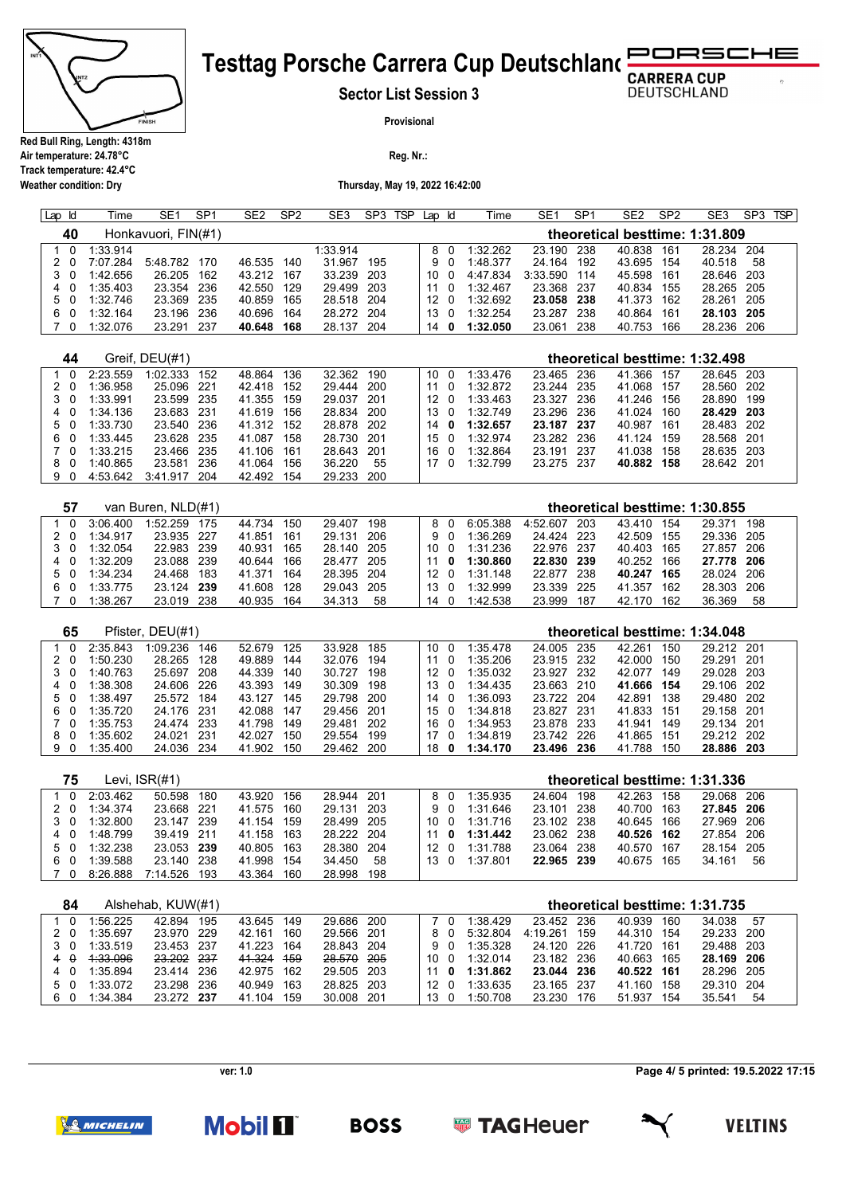

**Air temperature: 24.78°C**

## RSCHE **Testtag Porsche Carrera Cup Deutschland**

**Sector List Session 3**

**DEUTSCHLAND** 

**Provisional**

**Reg. Nr.:** 

**Track temperature: 42.4°C Weather condition: Dry**

**Thursday, May 19, 2022 16:42:00**

| Lap | Id       | Time     | SE1                 | SP <sub>1</sub> | SE <sub>2</sub> | SP <sub>2</sub> | SE3        | SP <sub>3</sub> | <b>TSP</b> | Lap | ld  | Time     | SE <sub>1</sub> | SP <sub>1</sub> | SE <sub>2</sub>                | SP <sub>2</sub> | SE3        | SP3 | <b>TSP</b> |
|-----|----------|----------|---------------------|-----------------|-----------------|-----------------|------------|-----------------|------------|-----|-----|----------|-----------------|-----------------|--------------------------------|-----------------|------------|-----|------------|
|     | 40       |          | Honkavuori, FIN(#1) |                 |                 |                 |            |                 |            |     |     |          |                 |                 | theoretical besttime: 1:31.809 |                 |            |     |            |
|     | $\Omega$ | 1:33.914 |                     |                 |                 |                 | 1:33.914   |                 |            | 8   |     | 1:32.262 | 23.190          | 238             | 40.838                         | 161             | 28.234 204 |     |            |
|     |          | 7:07.284 | 5:48.782            | 170             | 46.535          | 140             | 31.967     | 195             |            | 9.  |     | 1:48.377 | 24.164          | 192             | 43.695                         | - 154           | 40.518     | 58  |            |
| 3 O |          | 1:42.656 | 26, 205             | 162             | 43.212          | 167             | 33.239     | - 203           |            | 10  |     | 4:47.834 | 3:33.590        | 114             | 45.598                         | 161             | 28.646 203 |     |            |
| 4 0 |          | 1:35.403 | 23.354              | 236             | 42.550          | 129             | 29.499 203 |                 |            | 11  |     | 1:32.467 | 23.368          | -237            | 40.834                         | 155             | 28.265 205 |     |            |
| 5 0 |          | 1:32.746 | 23.369              | 235             | 40.859          | 165             | 28.518 204 |                 |            | 12  | - 0 | 1:32.692 | 23.058          | 238             | 41.373                         | 162             | 28.261 205 |     |            |
| 6   | $\Omega$ | 1:32.164 | 23.196              | 236             | 40.696          | 164             | 28.272 204 |                 |            | 13  |     | 1:32.254 | 23.287          | 238             | 40.864                         | 161             | 28.103 205 |     |            |
|     |          | 1:32.076 | 23.291              | 237             | 40.648          | 168             | 28.137     | 204             |            | 14  | 0   | 1:32.050 | 23.061          | 238             | 40.753                         | 166             | 28.236 206 |     |            |

| 44  |          | Greif, DEU(#1) |      |        |     |            |     |      |          |            |       |        |     | theoretical besttime: 1:32.498 |  |
|-----|----------|----------------|------|--------|-----|------------|-----|------|----------|------------|-------|--------|-----|--------------------------------|--|
| - 0 | 2:23.559 | 1:02.333       | 152  | 48.864 | 136 | 32.362     | 190 | 10 0 | 1:33.476 | 23.465 236 |       | 41.366 | 157 | 28.645 203                     |  |
| 2 O | 1:36.958 | 25.096         | -221 | 42.418 | 152 | 29.444     | 200 | - 0  | 1:32.872 | 23.244 235 |       | 41.068 | 157 | 28.560 202                     |  |
| 3 O | 1:33.991 | 23.599 235     |      | 41.355 | 159 | 29.037 201 |     | 12 O | 1:33.463 | 23.327     | - 236 | 41.246 | 156 | 28.890 199                     |  |
| 4 0 | 1:34.136 | 23.683 231     |      | 41.619 | 156 | 28.834     | 200 | 13 0 | 1:32.749 | 23.296 236 |       | 41.024 | 160 | 28.429 203                     |  |
| 50  | 1:33.730 | 23.540 236     |      | 41.312 | 152 | 28.878 202 |     | 14 O | 1:32.657 | 23.187 237 |       | 40.987 | 161 | 28.483 202                     |  |
| 60  | 1:33.445 | 23.628 235     |      | 41.087 | 158 | 28.730 201 |     | 15 0 | 1:32.974 | 23.282 236 |       | 41.124 | 159 | 28.568 201                     |  |
| 70  | 1:33.215 | 23.466 235     |      | 41.106 | 161 | 28.643 201 |     | 16 0 | 1:32.864 | 23.191     | -237  | 41.038 | 158 | 28.635 203                     |  |
| 80  | 1:40.865 | 23.581         | -236 | 41.064 | 156 | 36.220     | 55  | 17 O | 1:32.799 | 23.275 237 |       | 40.882 | 158 | 28.642 201                     |  |
| 90  | 4:53.642 | 3:41.917       | 204  | 42.492 | 154 | 29.233     | 200 |      |          |            |       |        |     |                                |  |

| 57  |          | van Buren, NLD(#1) |      |        |     |            |     |      |     |          |            |      | theoretical besttime: 1:30.855 |     |            |      |  |
|-----|----------|--------------------|------|--------|-----|------------|-----|------|-----|----------|------------|------|--------------------------------|-----|------------|------|--|
|     | 3:06.400 | 1:52 259           | 175  | 44.734 | 150 | 29.407     | 198 |      | 80  | 6:05.388 | 4.52607    | 203  | 43.410                         | 154 | 29 371     | 198  |  |
| 20  | 1:34.917 | 23.935 227         |      | 41.851 | 161 | 29.131     | 206 |      | 9 O | 1:36.269 | 24.424 223 |      | 42.509                         | 155 | 29.336     | 205  |  |
| 3 O | 1:32 054 | 22.983 239         |      | 40.931 | 165 | 28.140 205 |     | 10 O |     | 1:31.236 | 22.976 237 |      | 40.403                         | 165 | 27 857     | 206  |  |
| - 0 | 1:32.209 | 23.088 239         |      | 40.644 | 166 | 28.477 205 |     | -11  | 0   | 1:30.860 | 22.830 239 |      | 40.252                         | 166 | 27.778 206 |      |  |
| 50  | 1:34.234 | 24.468             | 183  | 41 371 | 164 | 28.395 204 |     | 12 O |     | 1:31.148 | 22 877     | 238  | 40.247                         | 165 | 28.024     | -206 |  |
| 60  | 1:33.775 | 23 124             | -239 | 41.608 | 128 | 29.043 205 |     | 13 0 |     | 1:32.999 | 23.339     | -225 | 41.357                         | 162 | 28.303     | 206  |  |
| 70  | 1:38.267 | 23.019             | 238  | 40.935 | 164 | 34.313     | 58  | 14   |     | 1:42.538 | 23.999     | 187  | 42.170                         | 162 | 36.369     | 58   |  |

| 65  |          | Pfister, DEU(#1) |      |        |     |            |       |      |     |          |            |       |            |     | theoretical besttime: 1:34.048 |      |
|-----|----------|------------------|------|--------|-----|------------|-------|------|-----|----------|------------|-------|------------|-----|--------------------------------|------|
| റ   | 2:35.843 | 1:09.236         | 146  | 52.679 | 125 | 33.928     | 185   | 10   | - 0 | 1:35.478 | 24.005     | -235  | 42 261     | 150 | 29 212 201                     |      |
| 20  | 1:50.230 | 28.265           | 128  | 49.889 | 144 | 32.076     | 194   |      |     | 1:35.206 | 23.915 232 |       | 42.000     | 150 | 29.291                         | -201 |
| 3 O | 1:40.763 | 25.697           | 208  | 44.339 | 140 | 30.727     | 198   | 12.  | - റ | 1:35.032 | 23.927     | -232  | 42.077     | 149 | 29.028 203                     |      |
| 4 0 | 1:38.308 | 24.606 226       |      | 43.393 | 149 | 30.309     | 198   | 13   | - 0 | 1:34.435 | 23.663 210 |       | 41.666 154 |     | 29.106 202                     |      |
| 5 0 | 1:38.497 | 25.572           | 184  | 43.127 | 145 | 29.798     | 200   | 14   | - 0 | 1:36.093 | 23.722 204 |       | 42.891     | 138 | 29.480 202                     |      |
| 60  | 1:35.720 | 24.176 231       |      | 42.088 | 147 | 29.456 201 |       | 15 0 |     | 1:34.818 | 23.827     | - 231 | 41.833 151 |     | 29.158 201                     |      |
| 70  | 1:35.753 | 24.474 233       |      | 41.798 | 149 | 29.481     | - 202 | 16   | . വ | 1:34.953 | 23.878 233 |       | 41.941     | 149 | 29.134 201                     |      |
| 80  | 1:35.602 | 24 021           | -231 | 42 027 | 150 | 29.554     | 199   | 17   |     | 1:34.819 | 23.742 226 |       | 41.865 151 |     | 29 212 202                     |      |
| 90  | 1:35.400 | 24.036 234       |      | 41.902 | 150 | 29.462     | 200   | 18   | 0   | 1:34.170 | 23.496     | -236  | 41.788     | 150 | 28.886                         | -203 |

| 75        |          | Levi. ISR(#1) |       |        |       |            |     |                 |     |          |            |      |            |     | theoretical besttime: 1:31.336 |    |  |
|-----------|----------|---------------|-------|--------|-------|------------|-----|-----------------|-----|----------|------------|------|------------|-----|--------------------------------|----|--|
| $\Omega$  | 2.03462  | 50.598        | 180   | 43.920 | 156   | 28.944 201 |     | 8               |     | 1:35.935 | 24.604     | 198  | 42 263     | 158 | 29.068 206                     |    |  |
| 20        | 1:34.374 | 23.668        | - 221 | 41.575 | 160   | 29.131 203 |     |                 | 9 O | 1:31.646 | 23.101     | -238 | 40.700     | 163 | 27.845 206                     |    |  |
| 3 O       | 1:32.800 | 23.147 239    |       | 41.154 | 159   | 28.499 205 |     | 10              | - 0 | 1:31716  | 23.102 238 |      | 40.645 166 |     | 27 969 206                     |    |  |
| 4 0       | 1.48799  | 39.419 211    |       | 41.158 | - 163 | 28.222 204 |     | 11              | - 0 | 1:31.442 | 23.062 238 |      | 40.526 162 |     | 27.854 206                     |    |  |
| 50        | 1:32.238 | 23.053 239    |       | 40.805 | - 163 | 28.380 204 |     | 12 <sub>0</sub> |     | 1:31.788 | 23.064     | -238 | 40.570 167 |     | 28.154 205                     |    |  |
| - 0<br>6. | 1.39.588 | 23.140 238    |       | 41.998 | 154   | 34.450     | 58  | 13              |     | 1:37 801 | 22.965 239 |      | 40.675 165 |     | 34.161                         | 56 |  |
|           | 8:26.888 | 7:14.526      | 193   | 43.364 | 160   | 28.998     | 198 |                 |     |          |            |      |            |     |                                |    |  |

| 84  |          | Alshehab, KUW(#1) |     |            |     |            |    |                 |   |          |            |     |        |     | theoretical besttime: 1:31.735 |       |  |
|-----|----------|-------------------|-----|------------|-----|------------|----|-----------------|---|----------|------------|-----|--------|-----|--------------------------------|-------|--|
|     | 1:56.225 | 42 894            | 195 | 43.645     | 149 | 29.686 200 |    |                 |   | 1.38429  | 23.452 236 |     | 40 939 | 160 | 34.038                         | 57    |  |
| 20  | 1:35.697 | 23.970 229        |     | 42.161     | 160 | 29.566 201 |    | 8 O             |   | 5:32.804 | 4:19.261   | 159 | 44.310 | 154 | 29.233                         | -200  |  |
| 3 O | 1:33.519 | 23.453 237        |     | 41.223     | 164 | 28.843 204 |    | 9 O             |   | 1:35.328 | 24.120 226 |     | 41 720 | 161 | 29.488 203                     |       |  |
| 4 A | 4:33.096 | 23.202 237        |     | 41.324     | 459 | 28.570 205 |    | 10 0            |   | 1:32.014 | 23.182 236 |     | 40.663 | 165 | 28.169                         | - 206 |  |
| 40  | 1:35.894 | 23.414 236        |     | 42.975 162 |     | 29.505 203 | 11 |                 | 0 | 1:31.862 | 23.044 236 |     | 40.522 | 161 | 28.296 205                     |       |  |
| 50  | 1:33.072 | 23.298 236        |     | 40.949     | 163 | 28.825 203 |    | 12 <sub>0</sub> |   | 1:33635  | 23.165 237 |     | 41 160 | 158 | 29.310                         | -204  |  |
| 60  | 1:34.384 | 23.272 237        |     | 41.104     | 159 | 30.008 201 |    | $13 \quad 0$    |   | 1:50.708 | 23.230     | 176 | 51.937 | 154 | 35.541                         | 54    |  |

**Page 4/ 5 printed: 19.5.2022 17:15**



**Mobil II**